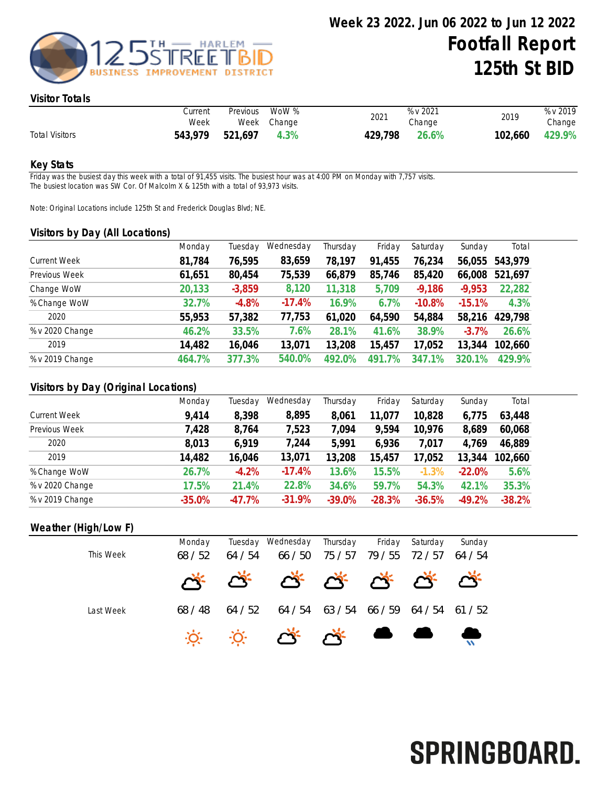

#### Visitor Totals

|                       | Current<br>Week | Previous | WoW %<br>Week Change | 2021    | % v 2021<br>Change | 2019    | % v 2019<br>Change |
|-----------------------|-----------------|----------|----------------------|---------|--------------------|---------|--------------------|
| <b>Total Visitors</b> | 543.979         | 521,697  | 4.3%                 | 429,798 | 26.6%              | 102,660 | 429.9%             |

#### Key Stats

Friday was the busiest day this week with a total of 91,455 visits. The busiest hour was at 4:00 PM on Monday with 7,757 visits. The busiest location was SW Cor. Of Malcolm X & 125th with a total of 93,973 visits.

Note: Original Locations include 125th St and Frederick Douglas Blvd; NE.

#### Visitors by Day (All Locations)

|                     | Monday | Tuesday  | Wednesday | Thursday | Friday    | Saturday               | Sunday   | Total   |
|---------------------|--------|----------|-----------|----------|-----------|------------------------|----------|---------|
| <b>Current Week</b> | 81,784 | 76,595   | 83,659    | 78,197   | 91,455    | 76,234                 | 56,055   | 543,979 |
| Previous Week       | 61,651 | 80,454   | 75,539    | 66,879   | 85,746    | 85,420                 | 66,008   | 521,697 |
| Change WoW          | 20,133 | $-3,859$ | 8,120     | 11,318   | 5,709     | $-9,186$               | $-9,953$ | 22,282  |
| % Change WoW        | 32.7%  | $-4.8%$  | $-17.4%$  | 16.9%    | 6.7%      | $-10.8%$               | $-15.1%$ | 4.3%    |
| 2020                | 55,953 | 57,382   | 77,753    | 61,020   | 64,590    | 54,884                 | 58,216   | 429,798 |
| % v 2020 Change     | 46.2%  | 33.5%    | 7.6%      | 28.1%    | 41.6%     | 38.9%                  | $-3.7\%$ | 26.6%   |
| 2019                | 14,482 | 16,046   | 13,071    | 13,208   | 15,457    | 17,052                 | 13,344   | 102,660 |
| % v 2019 Change     | 464.7% | 377.3%   | 540.0%    | 492.0%   | 7%<br>491 | $^{\prime}$ .1%<br>347 | 320.1%   | 429.9%  |
|                     |        |          |           |          |           |                        |          |         |

### Visitors by Day (Original Locations)

|                     | Monday   | Tuesday  | Wednesday | Thursday | Friday   | Saturday | Sunday   | Total    |
|---------------------|----------|----------|-----------|----------|----------|----------|----------|----------|
| <b>Current Week</b> | 9,414    | 8,398    | 8,895     | 8,061    | 11,077   | 10,828   | 6,775    | 63,448   |
| Previous Week       | 7,428    | 8,764    | 7,523     | 7,094    | 9,594    | 10,976   | 8,689    | 60,068   |
| 2020                | 8,013    | 6,919    | 7,244     | 5,991    | 6,936    | 7,017    | 4,769    | 46,889   |
| 2019                | 14,482   | 16,046   | 13,071    | 13,208   | 15,457   | 17,052   | 13,344   | 102,660  |
| % Change WoW        | 26.7%    | $-4.2%$  | $-17.4%$  | 13.6%    | 15.5%    | $-1.3%$  | $-22.0%$ | 5.6%     |
| % v 2020 Change     | 17.5%    | 21.4%    | 22.8%     | 34.6%    | 59.7%    | 54.3%    | 42.1%    | 35.3%    |
| % v 2019 Change     | $-35.0%$ | $-47.7%$ | $-31.9%$  | $-39.0%$ | $-28.3%$ | $-36.5%$ | $-49.2%$ | $-38.2%$ |

#### Weather (High/Low F)

| This Week | Monday<br>68/52 | 64 / 54 | Tuesday Wednesday Thursday              | 66 / 50 75 / 57 | 79/55 72/57 64/54 | Friday Saturday | Sunday |
|-----------|-----------------|---------|-----------------------------------------|-----------------|-------------------|-----------------|--------|
|           |                 |         | * * * * * * * * *                       |                 |                   |                 |        |
| Last Week | 68 / 48         | 64 / 52 | 64 / 54 63 / 54 66 / 59 64 / 54 61 / 52 |                 |                   |                 |        |
|           |                 |         |                                         |                 |                   |                 |        |

# SPRINGBOARD.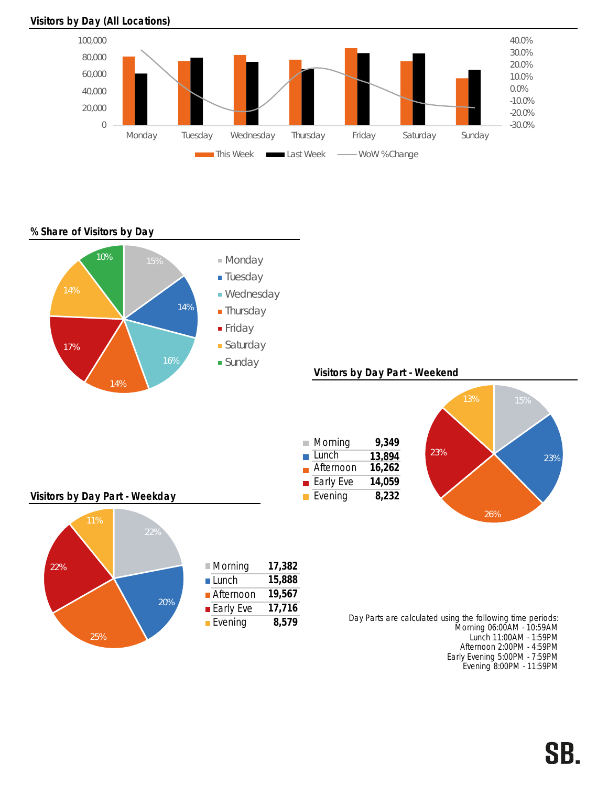## Visitors by Day (All Locations)



% Share of Visitors by Day



Early Evening 5:00PM - 7:59PM Evening 8:00PM - 11:59PM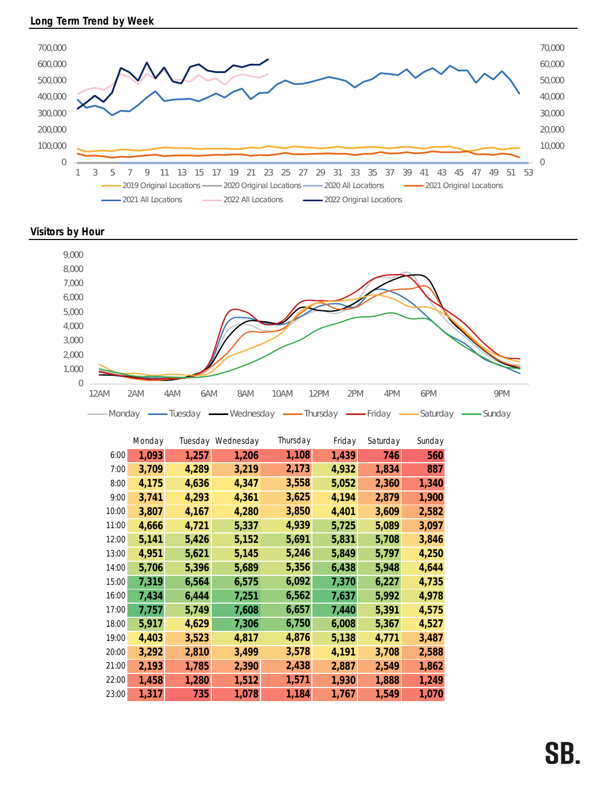

Visitors by Hour



|       | Monday |       | Tuesday Wednesday | Thursday | Friday | Saturday | Sunday |
|-------|--------|-------|-------------------|----------|--------|----------|--------|
| 6:00  | 1,093  | 1,257 | 1,206             | 1,108    | 1,439  | 746      | 560    |
| 7:00  | 3,709  | 4,289 | 3,219             | 2,173    | 4,932  | 1,834    | 887    |
| 8:00  | 4,175  | 4,636 | 4,347             | 3,558    | 5,052  | 2,360    | 1,340  |
| 9:00  | 3,741  | 4,293 | 4,361             | 3,625    | 4,194  | 2,879    | 1,900  |
| 10:00 | 3,807  | 4,167 | 4,280             | 3,850    | 4,401  | 3,609    | 2,582  |
| 11:00 | 4,666  | 4,721 | 5,337             | 4,939    | 5,725  | 5,089    | 3,097  |
| 12:00 | 5,141  | 5,426 | 5,152             | 5,691    | 5,831  | 5,708    | 3,846  |
| 13:00 | 4,951  | 5,621 | 5,145             | 5,246    | 5,849  | 5,797    | 4,250  |
| 14:00 | 5,706  | 5,396 | 5,689             | 5,356    | 6,438  | 5,948    | 4,644  |
| 15:00 | 7,319  | 6,564 | 6,575             | 6,092    | 7,370  | 6,227    | 4,735  |
| 16:00 | 7,434  | 6,444 | 7,251             | 6,562    | 7,637  | 5,992    | 4,978  |
| 17:00 | 7,757  | 5,749 | 7,608             | 6,657    | 7,440  | 5,391    | 4,575  |
| 18:00 | 5,917  | 4,629 | 7,306             | 6,750    | 6,008  | 5,367    | 4,527  |
| 19:00 | 4,403  | 3,523 | 4,817             | 4,876    | 5,138  | 4,771    | 3,487  |
| 20:00 | 3,292  | 2,810 | 3,499             | 3,578    | 4,191  | 3,708    | 2,588  |
| 21:00 | 2,193  | 1,785 | 2,390             | 2,438    | 2,887  | 2,549    | 1,862  |
| 22:00 | 1,458  | 1,280 | 1,512             | 1,571    | 1,930  | 1,888    | 1,249  |
| 23:00 | 1,317  | 735   | 1,078             | 1,184    | 1,767  | 1,549    | 1,070  |